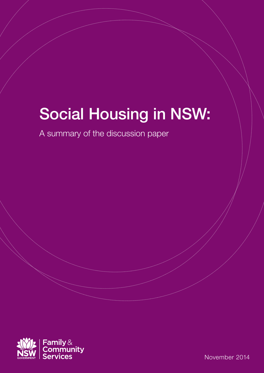# Social Housing in NSW:

A summary of the discussion paper



November 2014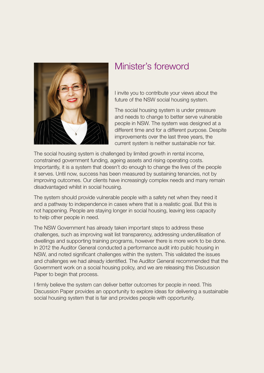

## Minister's foreword

I invite you to contribute your views about the future of the NSW social housing system.

The social housing system is under pressure and needs to change to better serve vulnerable people in NSW. The system was designed at a different time and for a different purpose. Despite improvements over the last three years, the current system is neither sustainable nor fair.

The social housing system is challenged by limited growth in rental income, constrained government funding, ageing assets and rising operating costs. Importantly, it is a system that doesn't do enough to change the lives of the people it serves. Until now, success has been measured by sustaining tenancies, not by improving outcomes. Our clients have increasingly complex needs and many remain disadvantaged whilst in social housing.

The system should provide vulnerable people with a safety net when they need it and a pathway to independence in cases where that is a realistic goal. But this is not happening. People are staying longer in social housing, leaving less capacity to help other people in need.

The NSW Government has already taken important steps to address these challenges, such as improving wait list transparency, addressing underutilisation of dwellings and supporting training programs, however there is more work to be done. In 2012 the Auditor General conducted a performance audit into public housing in NSW, and noted significant challenges within the system. This validated the issues and challenges we had already identified. The Auditor General recommended that the Government work on a social housing policy, and we are releasing this Discussion Paper to begin that process.

I firmly believe the system can deliver better outcomes for people in need. This Discussion Paper provides an opportunity to explore ideas for delivering a sustainable social housing system that is fair and provides people with opportunity.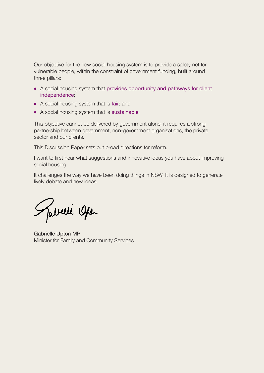Our objective for the new social housing system is to provide a safety net for vulnerable people, within the constraint of government funding, built around three pillars:

- A social housing system that provides opportunity and pathways for client independence;
- A social housing system that is fair; and
- A social housing system that is sustainable.

This objective cannot be delivered by government alone; it requires a strong partnership between government, non-government organisations, the private sector and our clients.

This Discussion Paper sets out broad directions for reform.

I want to first hear what suggestions and innovative ideas you have about improving social housing.

It challenges the way we have been doing things in NSW. It is designed to generate lively debate and new ideas.

Jabelli Open.

Gabrielle Upton MP Minister for Family and Community Services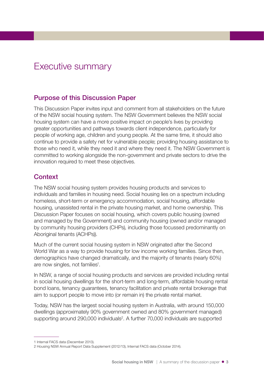## Executive summary

#### Purpose of this Discussion Paper

This Discussion Paper invites input and comment from all stakeholders on the future of the NSW social housing system. The NSW Government believes the NSW social housing system can have a more positive impact on people's lives by providing greater opportunities and pathways towards client independence, particularly for people of working age, children and young people. At the same time, it should also continue to provide a safety net for vulnerable people; providing housing assistance to those who need it, while they need it and where they need it. The NSW Government is committed to working alongside the non-government and private sectors to drive the innovation required to meet these objectives.

#### **Context**

The NSW social housing system provides housing products and services to individuals and families in housing need. Social housing lies on a spectrum including homeless, short-term or emergency accommodation, social housing, affordable housing, unassisted rental in the private housing market, and home ownership. This Discussion Paper focuses on social housing, which covers public housing (owned and managed by the Government) and community housing (owned and/or managed by community housing providers (CHPs), including those focussed predominantly on Aboriginal tenants (ACHPs)).

Much of the current social housing system in NSW originated after the Second World War as a way to provide housing for low income working families. Since then, demographics have changed dramatically, and the majority of tenants (nearly 60%) are now singles, not families<sup>1</sup>.

In NSW, a range of social housing products and services are provided including rental in social housing dwellings for the short-term and long-term, affordable housing rental bond loans, tenancy guarantees, tenancy facilitation and private rental brokerage that aim to support people to move into (or remain in) the private rental market.

Today, NSW has the largest social housing system in Australia, with around 150,000 dwellings (approximately 90% government owned and 80% government managed) supporting around 290,000 individuals<sup>2</sup>. A further 70,000 individuals are supported

<sup>1</sup> Internal FACS data (December 2013).

<sup>2</sup> Housing NSW Annual Report Data Supplement (2012/13), Internal FACS data (October 2014).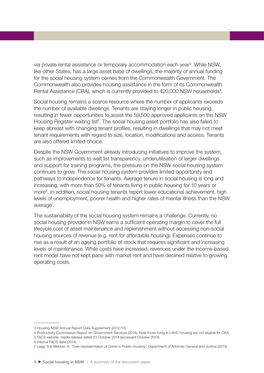via private rental assistance or temporary accommodation each year<sup>3</sup>. While NSW, like other States, has a large asset base of dwellings, the majority of annual funding for the social housing system comes from the Commonwealth Government. The Commonwealth also provides housing assistance in the form of its Commonwealth Rental Assistance (CRA), which is currently provided to 420,000 NSW households<sup>4</sup>.

Social housing remains a scarce resource where the number of applicants exceeds the number of available dwellings. Tenants are staying longer in public housing, resulting in fewer opportunities to assist the 59,500 approved applicants on the NSW Housing Register waiting list<sup>5</sup>. The social housing asset portfolio has also failed to keep abreast with changing tenant profiles, resulting in dwellings that may not meet tenant requirements with regard to size, location, modifications and access. Tenants are also offered limited choice.

Despite the NSW Government already introducing initiatives to improve the system, such as improvements to wait list transparency, underutilisation of larger dwellings and support for training programs, the pressure on the NSW social housing system continues to grow. The social housing system provides limited opportunity and pathways to independence for tenants. Average tenure in social housing is long and increasing, with more than 50% of tenants living in public housing for 10 years or more<sup>6</sup>. In addition, social housing tenants report lower educational achievement, high levels of unemployment, poorer health and higher rates of mental illness than the NSW average<sup>7</sup>.

The sustainability of the social housing system remains a challenge. Currently, no social housing provider in NSW earns a sufficient operating margin to cover the full lifecycle cost of asset maintenance and replenishment without accessing non-social housing sources of revenue (e.g. rent for affordable housing). Expenses continue to rise as a result of an ageing portfolio of stock that requires significant and increasing levels of maintenance. While costs have increased, revenues under the income-based rent model have not kept pace with market rent and have declined relative to growing operating costs.

<sup>3</sup> Housing NSW Annual Report Data Supplement (2012/13).

<sup>4</sup> Productivity Commission Report on Government Services (2014). Note those living in LAHC housing are not eligible for CRA. 5 FACS website, media release dated 23 October 2014 (accessed October 2014).

<sup>6</sup> Internal FACS data (2014).

<sup>7</sup> Legg, S & Webber, A. 'Over-representation of Crime in Public Housing', Department of Attorney General and Justice (2013).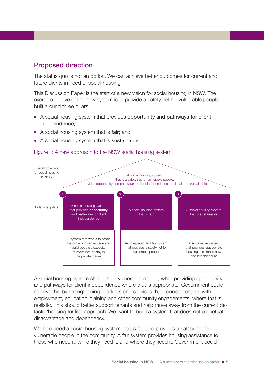### Proposed direction

The status quo is not an option. We can achieve better outcomes for current and future clients in need of social housing.

This Discussion Paper is the start of a new vision for social housing in NSW. The overall objective of the new system is to provide a safety net for vulnerable people built around three pillars:

- A social housing system that provides opportunity and pathways for client independence;
- A social housing system that is fair; and
- A social housing system that is sustainable.

#### Figure 1: A new approach to the NSW social housing system



A social housing system should help vulnerable people, while providing opportunity and pathways for client independence where that is appropriate. Government could achieve this by strengthening products and services that connect tenants with employment, education, training and other community engagements, where that is realistic. This should better support tenants and help move away from the current defacto 'housing-for-life' approach. We want to build a system that does not perpetuate disadvantage and dependency.

We also need a social housing system that is fair and provides a safety net for vulnerable people in the community. A fair system provides housing assistance to those who need it, while they need it, and where they need it. Government could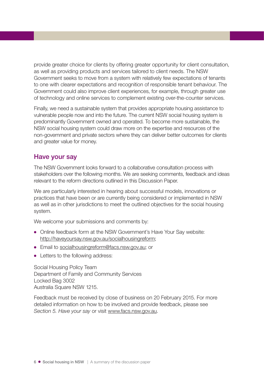provide greater choice for clients by offering greater opportunity for client consultation, as well as providing products and services tailored to client needs. The NSW Government seeks to move from a system with relatively few expectations of tenants to one with clearer expectations and recognition of responsible tenant behaviour. The Government could also improve client experiences, for example, through greater use of technology and online services to complement existing over-the-counter services.

Finally, we need a sustainable system that provides appropriate housing assistance to vulnerable people now and into the future. The current NSW social housing system is predominantly Government owned and operated. To become more sustainable, the NSW social housing system could draw more on the expertise and resources of the non-government and private sectors where they can deliver better outcomes for clients and greater value for money.

#### Have your say

The NSW Government looks forward to a collaborative consultation process with stakeholders over the following months. We are seeking comments, feedback and ideas relevant to the reform directions outlined in this Discussion Paper.

We are particularly interested in hearing about successful models, innovations or practices that have been or are currently being considered or implemented in NSW as well as in other jurisdictions to meet the outlined objectives for the social housing system.

We welcome your submissions and comments by:

- Online feedback form at the NSW Government's Have Your Say website: <http://haveyoursay.nsw.gov.au/socialhousingreform>;
- Email to [socialhousingreform@facs.nsw.gov.au;](mailto:socialhousingreform%40facs.nsw.gov.au?subject=Submissions%20and%20Comments) or
- Letters to the following address:

Social Housing Policy Team Department of Family and Community Services Locked Bag 3002 Australia Square NSW 1215.

Feedback must be received by close of business on 20 February 2015. For more detailed information on how to be involved and provide feedback, please see *Section 5. Have your say* or visit [www.facs.nsw.gov.au](http://www.facs.nsw.gov.au).